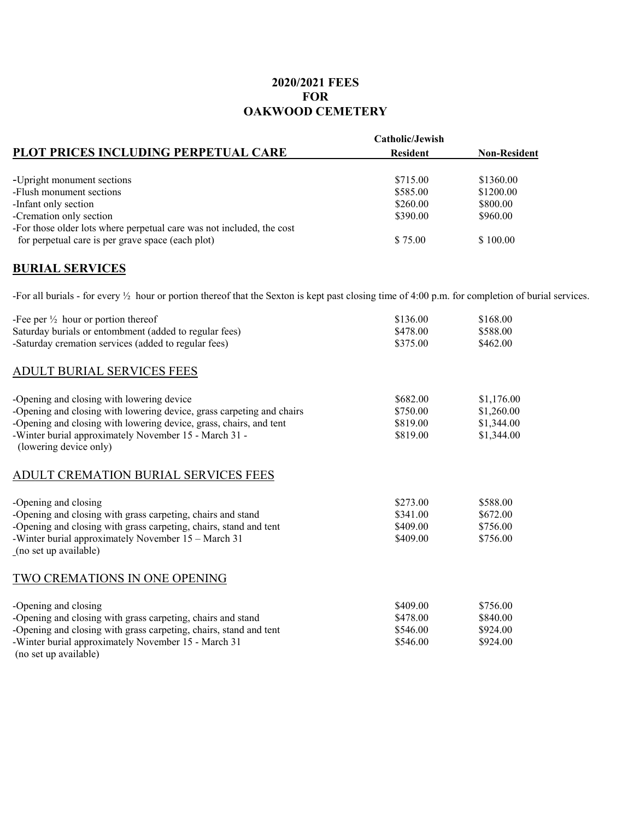## **2020/2021 FEES FOR OAKWOOD CEMETERY**

| Catholic/Jewish |                     |
|-----------------|---------------------|
| <b>Resident</b> | <b>Non-Resident</b> |
| \$715.00        | \$1360.00           |
| \$585.00        | \$1200.00           |
| \$260.00        | \$800.00            |
| \$390.00        | \$960.00            |
|                 |                     |
| \$75.00         | \$100.00            |
|                 |                     |

## **BURIAL SERVICES**

-For all burials - for every ½ hour or portion thereof that the Sexton is kept past closing time of 4:00 p.m. for completion of burial services.

| -Fee per $\frac{1}{2}$ hour or portion thereof<br>Saturday burials or entombment (added to regular fees)<br>-Saturday cremation services (added to regular fees)                                                                                                            | \$136.00<br>\$478.00<br>\$375.00             | \$168.00<br>\$588.00<br>\$462.00                     |
|-----------------------------------------------------------------------------------------------------------------------------------------------------------------------------------------------------------------------------------------------------------------------------|----------------------------------------------|------------------------------------------------------|
| ADULT BURIAL SERVICES FEES                                                                                                                                                                                                                                                  |                                              |                                                      |
| -Opening and closing with lowering device<br>-Opening and closing with lowering device, grass carpeting and chairs<br>-Opening and closing with lowering device, grass, chairs, and tent<br>-Winter burial approximately November 15 - March 31 -<br>(lowering device only) | \$682.00<br>\$750.00<br>\$819.00<br>\$819.00 | \$1,176.00<br>\$1,260.00<br>\$1,344.00<br>\$1,344.00 |
| ADULT CREMATION BURIAL SERVICES FEES                                                                                                                                                                                                                                        |                                              |                                                      |
| -Opening and closing<br>-Opening and closing with grass carpeting, chairs and stand<br>-Opening and closing with grass carpeting, chairs, stand and tent<br>-Winter burial approximately November 15 – March 31<br>(no set up available)                                    | \$273.00<br>\$341.00<br>\$409.00<br>\$409.00 | \$588.00<br>\$672.00<br>\$756.00<br>\$756.00         |
| TWO CREMATIONS IN ONE OPENING                                                                                                                                                                                                                                               |                                              |                                                      |
| -Opening and closing<br>-Opening and closing with grass carpeting, chairs and stand<br>-Opening and closing with grass carpeting, chairs, stand and tent<br>-Winter burial approximately November 15 - March 31<br>(no set up available)                                    | \$409.00<br>\$478.00<br>\$546.00<br>\$546.00 | \$756.00<br>\$840.00<br>\$924.00<br>\$924.00         |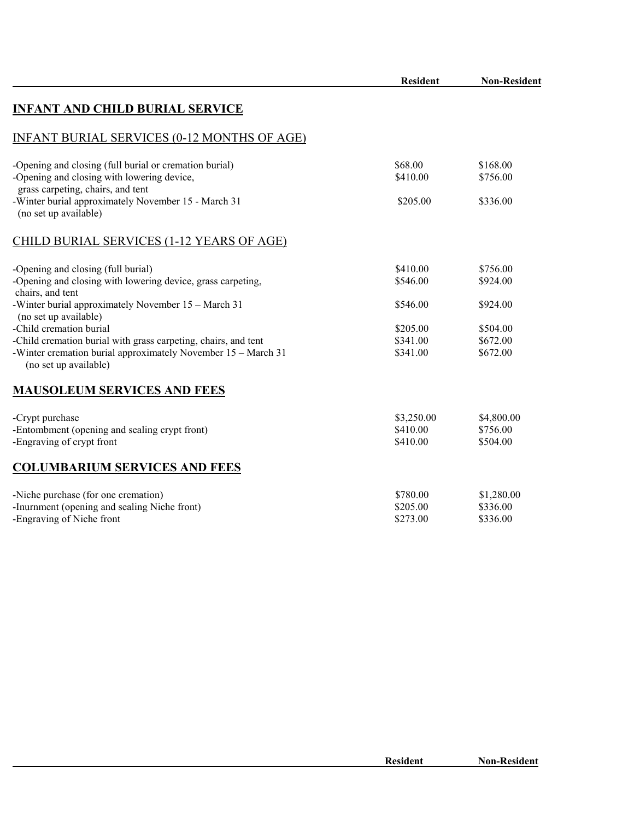|                                                                                                                                                                                     | <b>Resident</b>                    | <b>Non-Resident</b>                |
|-------------------------------------------------------------------------------------------------------------------------------------------------------------------------------------|------------------------------------|------------------------------------|
| <b>INFANT AND CHILD BURIAL SERVICE</b>                                                                                                                                              |                                    |                                    |
| <b>INFANT BURIAL SERVICES (0-12 MONTHS OF AGE)</b>                                                                                                                                  |                                    |                                    |
| -Opening and closing (full burial or cremation burial)<br>-Opening and closing with lowering device,<br>grass carpeting, chairs, and tent                                           | \$68.00<br>\$410.00                | \$168.00<br>\$756.00               |
| -Winter burial approximately November 15 - March 31<br>(no set up available)                                                                                                        | \$205.00                           | \$336.00                           |
| <b>CHILD BURIAL SERVICES (1-12 YEARS OF AGE)</b>                                                                                                                                    |                                    |                                    |
| -Opening and closing (full burial)<br>-Opening and closing with lowering device, grass carpeting,<br>chairs, and tent                                                               | \$410.00<br>\$546.00               | \$756.00<br>\$924.00               |
| -Winter burial approximately November 15 - March 31<br>(no set up available)                                                                                                        | \$546.00                           | \$924.00                           |
| -Child cremation burial<br>-Child cremation burial with grass carpeting, chairs, and tent<br>-Winter cremation burial approximately November 15 - March 31<br>(no set up available) | \$205.00<br>\$341.00<br>\$341.00   | \$504.00<br>\$672.00<br>\$672.00   |
| <b>MAUSOLEUM SERVICES AND FEES</b>                                                                                                                                                  |                                    |                                    |
| -Crypt purchase<br>-Entombment (opening and sealing crypt front)<br>-Engraving of crypt front                                                                                       | \$3,250.00<br>\$410.00<br>\$410.00 | \$4,800.00<br>\$756.00<br>\$504.00 |
| <b>COLUMBARIUM SERVICES AND FEES</b>                                                                                                                                                |                                    |                                    |
| -Niche purchase (for one cremation)<br>-Inurnment (opening and sealing Niche front)<br>-Engraving of Niche front                                                                    | \$780.00<br>\$205.00<br>\$273.00   | \$1,280.00<br>\$336.00<br>\$336.00 |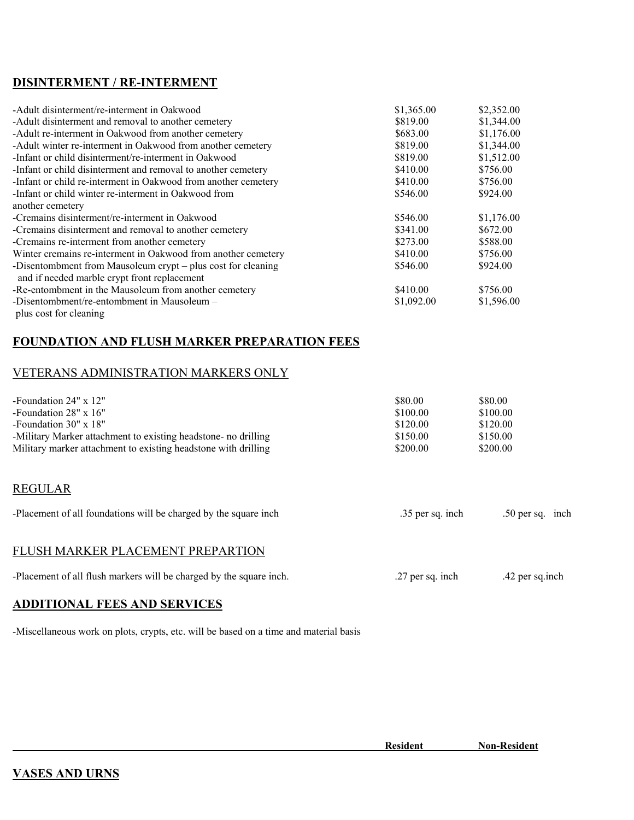### **DISINTERMENT / RE-INTERMENT**

| -Adult disinterment/re-interment in Oakwood                    | \$1,365.00 | \$2,352.00 |
|----------------------------------------------------------------|------------|------------|
| -Adult disinterment and removal to another cemetery            | \$819.00   | \$1,344.00 |
| -Adult re-interment in Oakwood from another cemetery           | \$683.00   | \$1,176.00 |
| -Adult winter re-interment in Oakwood from another cemetery    | \$819.00   | \$1,344.00 |
| -Infant or child disinterment/re-interment in Oakwood          | \$819.00   | \$1,512.00 |
| -Infant or child disinterment and removal to another cemetery  | \$410.00   | \$756.00   |
| -Infant or child re-interment in Oakwood from another cemetery | \$410.00   | \$756.00   |
| -Infant or child winter re-interment in Oakwood from           | \$546.00   | \$924.00   |
| another cemetery                                               |            |            |
| -Cremains disinterment/re-interment in Oakwood                 | \$546.00   | \$1,176.00 |
| -Cremains disinterment and removal to another cemetery         | \$341.00   | \$672.00   |
| -Cremains re-interment from another cemetery                   | \$273.00   | \$588.00   |
| Winter cremains re-interment in Oakwood from another cemetery  | \$410.00   | \$756.00   |
| -Disentombment from Mausoleum crypt - plus cost for cleaning   | \$546.00   | \$924.00   |
| and if needed marble crypt front replacement                   |            |            |
| -Re-entombment in the Mausoleum from another cemetery          | \$410.00   | \$756.00   |
| -Disentombment/re-entombment in Mausoleum -                    | \$1,092.00 | \$1,596.00 |
|                                                                |            |            |

#### plus cost for cleaning

# **FOUNDATION AND FLUSH MARKER PREPARATION FEES**

### VETERANS ADMINISTRATION MARKERS ONLY

| -Foundation $24" \times 12"$                                   | \$80.00  | \$80.00  |
|----------------------------------------------------------------|----------|----------|
| -Foundation $28" \times 16"$                                   | \$100.00 | \$100.00 |
| -Foundation $30'' \times 18''$                                 | \$120.00 | \$120.00 |
| -Military Marker attachment to existing headstone- no drilling | \$150.00 | \$150.00 |
| Military marker attachment to existing headstone with drilling | \$200.00 | \$200.00 |

### REGULAR

| -Placement of all foundations will be charged by the square inch | .35 per sq. inch | $.50$ per sq. inch |  |
|------------------------------------------------------------------|------------------|--------------------|--|
|                                                                  |                  |                    |  |

#### FLUSH MARKER PLACEMENT PREPARTION

| -Placement of all flush markers will be charged by the square inch. | $27$ per sq. mch | .42 per sq.inch |
|---------------------------------------------------------------------|------------------|-----------------|
|---------------------------------------------------------------------|------------------|-----------------|

### **ADDITIONAL FEES AND SERVICES**

-Miscellaneous work on plots, crypts, etc. will be based on a time and material basis